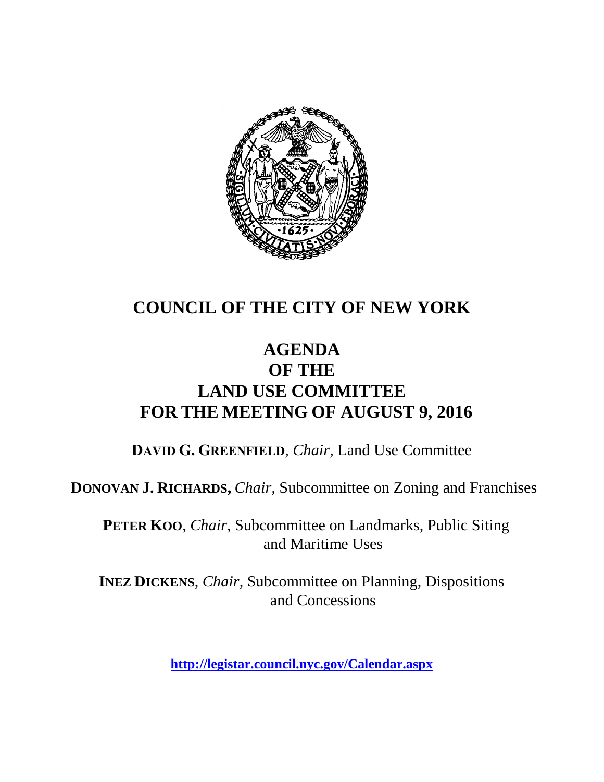

### **COUNCIL OF THE CITY OF NEW YORK**

#### **AGENDA OF THE LAND USE COMMITTEE FOR THE MEETING OF AUGUST 9, 2016**

**DAVID G. GREENFIELD**, *Chair*, Land Use Committee

**DONOVAN J. RICHARDS,** *Chair,* Subcommittee on Zoning and Franchises

**PETER KOO**, *Chair*, Subcommittee on Landmarks, Public Siting and Maritime Uses

**INEZ DICKENS**, *Chair,* Subcommittee on Planning, Dispositions and Concessions

**<http://legistar.council.nyc.gov/Calendar.aspx>**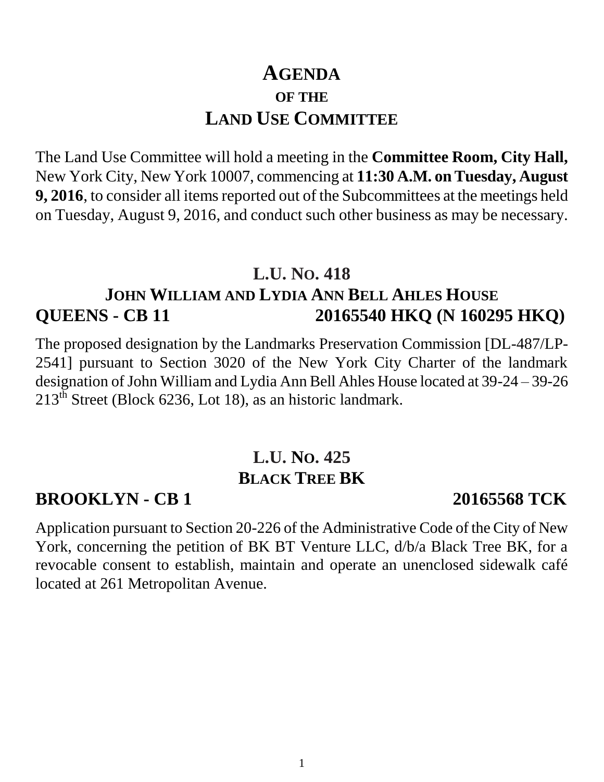## **AGENDA OF THE LAND USE COMMITTEE**

The Land Use Committee will hold a meeting in the **Committee Room, City Hall,**  New York City, New York 10007, commencing at **11:30 A.M. on Tuesday, August 9, 2016**, to consider all items reported out of the Subcommittees at the meetings held on Tuesday, August 9, 2016, and conduct such other business as may be necessary.

#### **L.U. NO. 418**

#### **JOHN WILLIAM AND LYDIA ANN BELL AHLES HOUSE QUEENS - CB 11 20165540 HKQ (N 160295 HKQ)**

The proposed designation by the Landmarks Preservation Commission [DL-487/LP-2541] pursuant to Section 3020 of the New York City Charter of the landmark designation of John William and Lydia Ann Bell Ahles House located at 39-24 – 39-26  $213<sup>th</sup>$  Street (Block 6236, Lot 18), as an historic landmark.

### **L.U. NO. 425 BLACK TREE BK**

#### **BROOKLYN - CB 1 20165568 TCK**

Application pursuant to Section 20-226 of the Administrative Code of the City of New York, concerning the petition of BK BT Venture LLC, d/b/a Black Tree BK, for a revocable consent to establish, maintain and operate an unenclosed sidewalk café located at 261 Metropolitan Avenue.